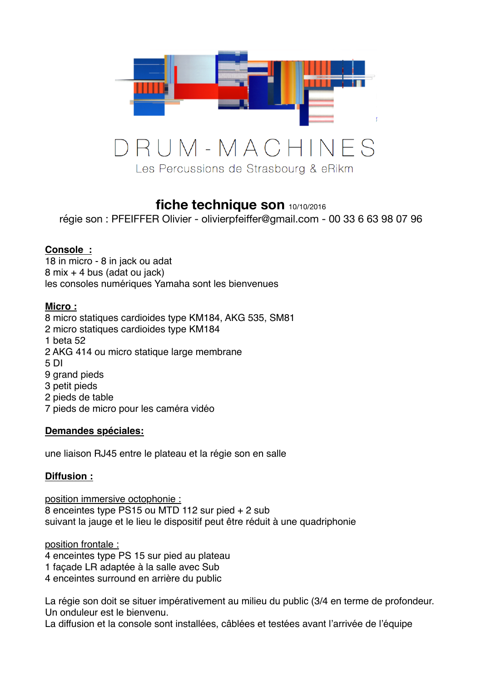

# **fiche technique son** 10/10/2016

régie son : PFEIFFER Olivier - olivierpfeiffer@gmail.com - 00 33 6 63 98 07 96

### **Console :**

18 in micro - 8 in jack ou adat 8 mix + 4 bus (adat ou jack) les consoles numériques Yamaha sont les bienvenues

#### **Micro :**

8 micro statiques cardioides type KM184, AKG 535, SM81 2 micro statiques cardioides type KM184 1 beta 52 2 AKG 414 ou micro statique large membrane 5 DI 9 grand pieds 3 petit pieds 2 pieds de table 7 pieds de micro pour les caméra vidéo

#### **Demandes spéciales:**

une liaison RJ45 entre le plateau et la régie son en salle

#### **Diffusion :**

position immersive octophonie : 8 enceintes type PS15 ou MTD 112 sur pied + 2 sub suivant la jauge et le lieu le dispositif peut être réduit à une quadriphonie

position frontale :

4 enceintes type PS 15 sur pied au plateau

- 1 façade LR adaptée à la salle avec Sub
- 4 enceintes surround en arrière du public

La régie son doit se situer impérativement au milieu du public (3/4 en terme de profondeur. Un onduleur est le bienvenu.

La diffusion et la console sont installées, câblées et testées avant l'arrivée de l'équipe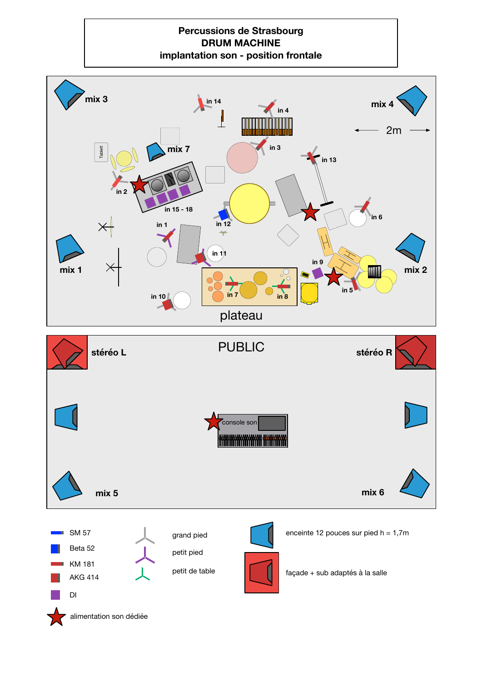#### **Percussions de Strasbourg DRUM MACHINE implantation son - position frontale**

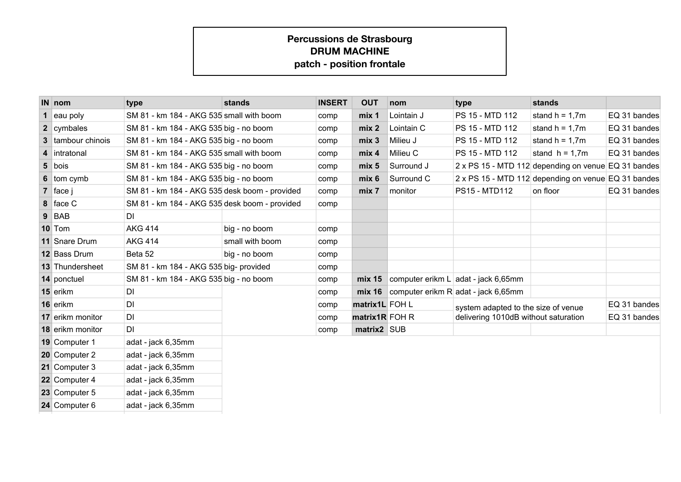## **Percussions de Strasbourg DRUM MACHINEpatch - position frontale**

| $IN$ nom                 | type                                          | stands          | <b>INSERT</b> | <b>OUT</b>       | nom        | type                                                | stands           |              |
|--------------------------|-----------------------------------------------|-----------------|---------------|------------------|------------|-----------------------------------------------------|------------------|--------------|
| eau poly                 | SM 81 - km 184 - AKG 535 small with boom      |                 | comp          | mix 1            | Lointain J | PS 15 - MTD 112                                     | stand $h = 1,7m$ | EQ 31 bandes |
| 2 cymbales               | SM 81 - km 184 - AKG 535 big - no boom        |                 | comp          | mix 2            | Lointain C | PS 15 - MTD 112                                     | stand $h = 1.7m$ | EQ 31 bandes |
| <b>3</b> tambour chinois | SM 81 - km 184 - AKG 535 big - no boom        |                 | comp          | mix <sub>3</sub> | Milieu J   | PS 15 - MTD 112                                     | stand $h = 1.7m$ | EQ 31 bandes |
| 4 intratonal             | SM 81 - km 184 - AKG 535 small with boom      |                 | comp          | mix <sub>4</sub> | Milieu C   | PS 15 - MTD 112                                     | stand $h = 1.7m$ | EQ 31 bandes |
| $5$ bois                 | SM 81 - km 184 - AKG 535 big - no boom        |                 | comp          | mix <sub>5</sub> | Surround J | 2 x PS 15 - MTD 112 depending on venue EQ 31 bandes |                  |              |
| 6 tom cymb               | SM 81 - km 184 - AKG 535 big - no boom        |                 | comp          | mix <sub>6</sub> | Surround C | 2 x PS 15 - MTD 112 depending on venue EQ 31 bandes |                  |              |
| $7$ face j               | SM 81 - km 184 - AKG 535 desk boom - provided |                 | comp          | mix 7            | monitor    | <b>PS15 - MTD112</b>                                | on floor         | EQ 31 bandes |
| 8 face C                 | SM 81 - km 184 - AKG 535 desk boom - provided |                 | comp          |                  |            |                                                     |                  |              |
| $9$ BAB                  | DI                                            |                 |               |                  |            |                                                     |                  |              |
| 10 Tom                   | <b>AKG 414</b>                                | big - no boom   | comp          |                  |            |                                                     |                  |              |
| 11 Snare Drum            | <b>AKG 414</b>                                | small with boom | comp          |                  |            |                                                     |                  |              |
| 12 Bass Drum             | Beta 52                                       | big - no boom   | comp          |                  |            |                                                     |                  |              |
| 13 Thundersheet          | SM 81 - km 184 - AKG 535 big- provided        |                 | comp          |                  |            |                                                     |                  |              |
| 14 ponctuel              | SM 81 - km 184 - AKG 535 big - no boom        |                 | comp          |                  |            | $mix 15$ computer erikm L adat - jack 6,65mm        |                  |              |
| 15 erikm                 | DI                                            |                 | comp          |                  |            | $mix 16$ computer erikm R adat - jack 6,65mm        |                  |              |
| 16 erikm                 | DI                                            |                 | comp          | matrix1L FOH L   |            | system adapted to the size of venue                 |                  | EQ 31 bandes |
| 17 erikm monitor         | DI                                            |                 | comp          | matrix1R FOH R   |            | delivering 1010dB without saturation                |                  | EQ 31 bandes |
| 18 erikm monitor         | DI                                            |                 | comp          | matrix2 SUB      |            |                                                     |                  |              |
| 19 Computer 1            | adat - jack 6,35mm                            |                 |               |                  |            |                                                     |                  |              |
| 20 Computer 2            | adat - jack 6,35mm                            |                 |               |                  |            |                                                     |                  |              |
| 21 Computer 3            | adat - jack 6,35mm                            |                 |               |                  |            |                                                     |                  |              |
| 22 Computer 4            | adat - jack 6,35mm                            |                 |               |                  |            |                                                     |                  |              |
| 23 Computer 5            | adat - jack 6,35mm                            |                 |               |                  |            |                                                     |                  |              |
| 24 Computer 6            | adat - jack 6,35mm                            |                 |               |                  |            |                                                     |                  |              |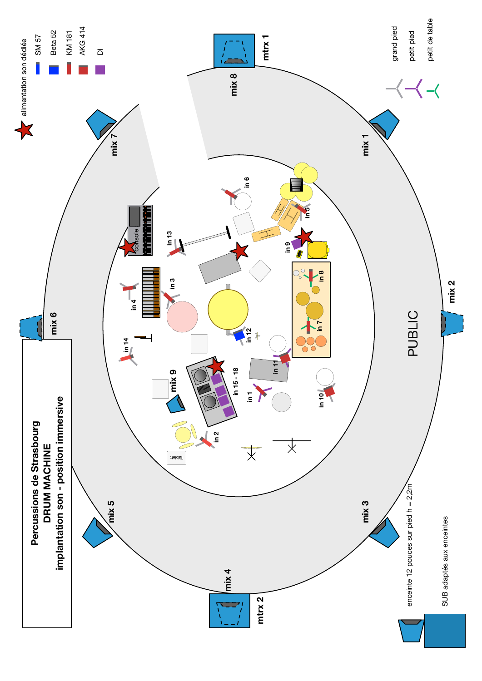